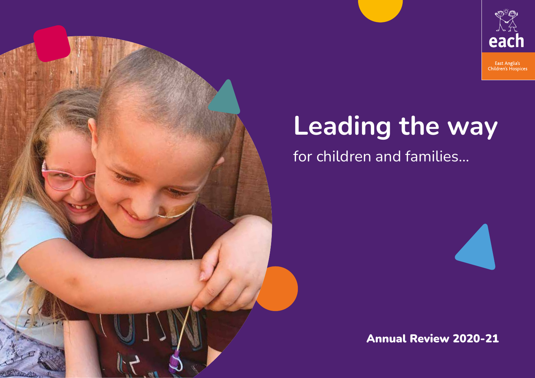

East Anglia's<br>Children's Hospices

# **Leading the way**

for children and families…

Annual Review 2020-21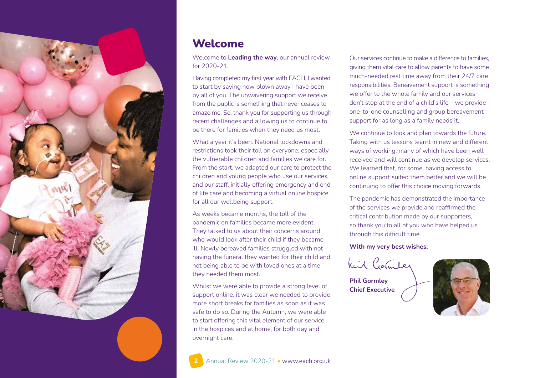

### Welcome

Welcome to **Leading the way**, our annual review for 2020-21.

Having completed my first year with EACH, I wanted to start by saying how blown away I have been by all of you. The unwavering support we receive from the public is something that never ceases to amaze me. So, thank you for supporting us through recent challenges and allowing us to continue to be there for families when they need us most.

What a year it's been. National lockdowns and restrictions took their toll on everyone, especially the vulnerable children and families we care for. From the start, we adapted our care to protect the children and young people who use our services, and our staff, initially offering emergency and end of life care and becoming a virtual online hospice for all our wellbeing support.

As weeks became months, the toll of the pandemic on families became more evident. They talked to us about their concerns around who would look after their child if they became ill. Newly bereaved families struggled with not having the funeral they wanted for their child and not being able to be with loved ones at a time they needed them most.

Whilst we were able to provide a strong level of support online, it was clear we needed to provide more short breaks for families as soon as it was safe to do so. During the Autumn, we were able to start offering this vital element of our service in the hospices and at home, for both day and overnight care.

Our services continue to make a difference to families, giving them vital care to allow parents to have some much-needed rest time away from their 24/7 care responsibilities. Bereavement support is something we offer to the whole family and our services don't stop at the end of a child's life – we provide one-to-one counselling and group bereavement support for as long as a family needs it.

We continue to look and plan towards the future. Taking with us lessons learnt in new and different ways of working, many of which have been well received and will continue as we develop services. We learned that, for some, having access to online support suited them better and we will be continuing to offer this choice moving forwards.

The pandemic has demonstrated the importance of the services we provide and reaffirmed the critical contribution made by our supporters, so thank you to all of you who have helped us through this difficult time.

#### **With my very best wishes,**

kuil Garmler

**Phil Gormley Chief Executive**

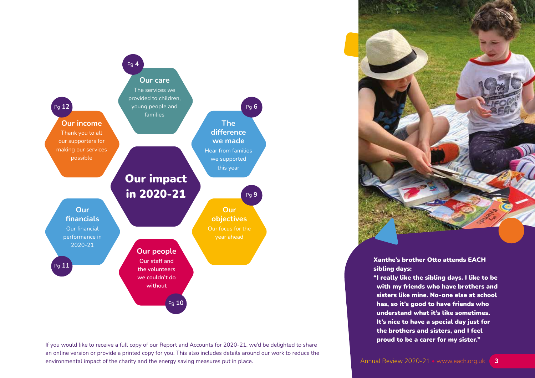

If you would like to receive a full copy of our Report and Accounts for 2020-21, we'd be delighted to share an online version or provide a printed copy for you. This also includes details around our work to reduce the environmental impact of the charity and the energy saving measures put in place.



Xanthe's brother Otto attends EACH sibling days:

"I really like the sibling days. I like to be with my friends who have brothers and sisters like mine. No-one else at school has, so it's good to have friends who understand what it's like sometimes. It's nice to have a special day just for the brothers and sisters, and I feel proud to be a carer for my sister."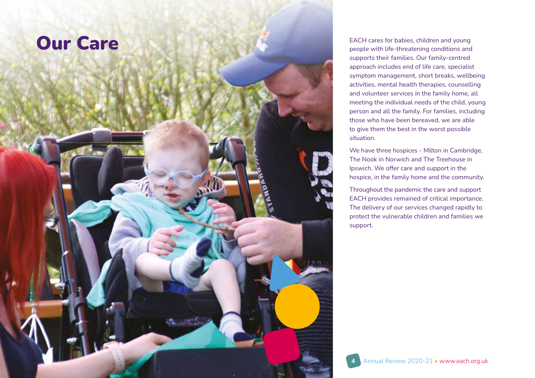

EACH cares for babies, children and young people with life-threatening conditions and supports their families. Our family-centred approach includes end of life care, specialist symptom management, short breaks, wellbeing activities, mental health therapies, counselling and volunteer services in the family home, all meeting the individual needs of the child, young person and all the family. For families, including those who have been bereaved, we are able to give them the best in the worst possible situation.

We have three hospices - Milton in Cambridge, The Nook in Norwich and The Treehouse in Ipswich. We offer care and support in the hospice, in the family home and the community.

Throughout the pandemic the care and support EACH provides remained of critical importance. The delivery of our services changed rapidly to protect the vulnerable children and families we support.

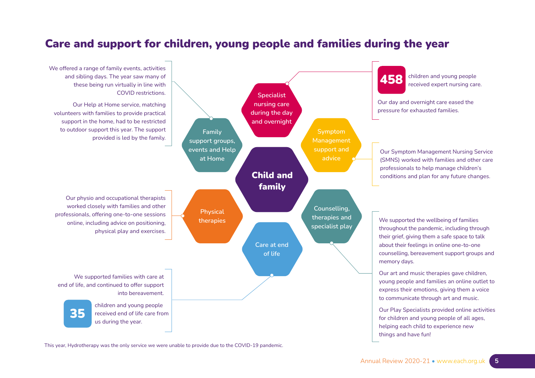

### Care and support for children, young people and families during the year

This year, Hydrotherapy was the only service we were unable to provide due to the COVID-19 pandemic.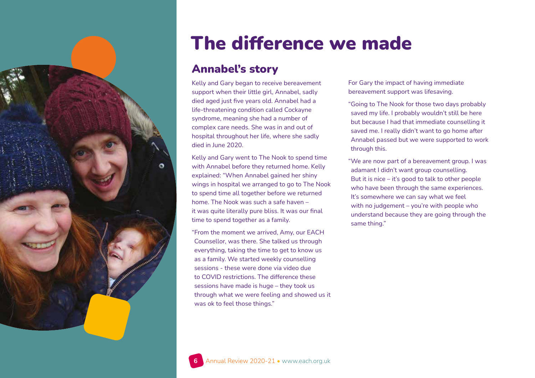

# The difference we made

## Annabel's story

Kelly and Gary began to receive bereavement support when their little girl, Annabel, sadly died aged just five years old. Annabel had a life-threatening condition called Cockayne syndrome, meaning she had a number of complex care needs. She was in and out of hospital throughout her life, where she sadly died in June 2020.

Kelly and Gary went to The Nook to spend time with Annabel before they returned home. Kelly explained: "When Annabel gained her shiny wings in hospital we arranged to go to The Nook to spend time all together before we returned home. The Nook was such a safe haven – it was quite literally pure bliss. It was our final time to spend together as a family.

" From the moment we arrived, Amy, our EACH Counsellor, was there. She talked us through everything, taking the time to get to know us as a family. We started weekly counselling sessions - these were done via video due to COVID restrictions. The difference these sessions have made is huge – they took us through what we were feeling and showed us it was ok to feel those things."

For Gary the impact of having immediate bereavement support was lifesaving.

- " Going to The Nook for those two days probably saved my life. I probably wouldn't still be here but because I had that immediate counselling it saved me. I really didn't want to go home after Annabel passed but we were supported to work through this.
- " We are now part of a bereavement group. I was adamant I didn't want group counselling. But it is nice – it's good to talk to other people who have been through the same experiences. It's somewhere we can say what we feel with no judgement – you're with people who understand because they are going through the same thing."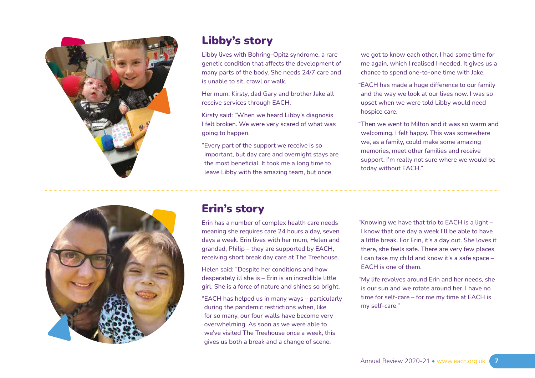

### Libby's story

Libby lives with Bohring-Opitz syndrome, a rare genetic condition that affects the development of many parts of the body. She needs 24/7 care and is unable to sit, crawl or walk.

Her mum, Kirsty, dad Gary and brother Jake all receive services through EACH.

Kirsty said: "When we heard Libby's diagnosis I felt broken. We were very scared of what was going to happen.

" Every part of the support we receive is so important, but day care and overnight stays are the most beneficial. It took me a long time to leave Libby with the amazing team, but once

we got to know each other, I had some time for me again, which I realised I needed. It gives us a chance to spend one-to-one time with Jake.

" EACH has made a huge difference to our family and the way we look at our lives now. I was so upset when we were told Libby would need hospice care.

" Then we went to Milton and it was so warm and welcoming. I felt happy. This was somewhere we, as a family, could make some amazing memories, meet other families and receive support. I'm really not sure where we would be today without EACH."



### Erin's story

Erin has a number of complex health care needs meaning she requires care 24 hours a day, seven days a week. Erin lives with her mum, Helen and grandad, Philip – they are supported by EACH, receiving short break day care at The Treehouse.

Helen said: "Despite her conditions and how desperately ill she is – Erin is an incredible little girl. She is a force of nature and shines so bright.

" EACH has helped us in many ways – particularly during the pandemic restrictions when, like for so many, our four walls have become very overwhelming. As soon as we were able to we've visited The Treehouse once a week, this gives us both a break and a change of scene.

" Knowing we have that trip to EACH is a light – I know that one day a week I'll be able to have a little break. For Erin, it's a day out. She loves it there, she feels safe. There are very few places I can take my child and know it's a safe space – EACH is one of them.

" My life revolves around Erin and her needs, she is our sun and we rotate around her. I have no time for self-care – for me my time at EACH is my self-care."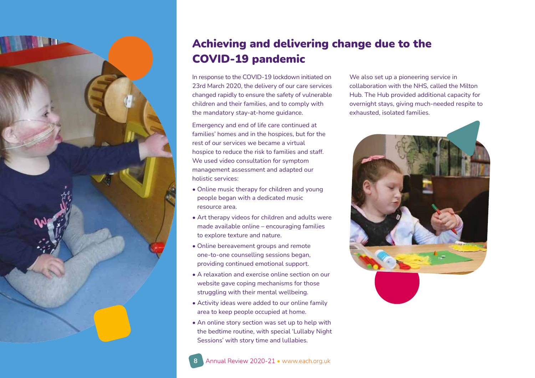

# Achieving and delivering change due to the COVID-19 pandemic

In response to the COVID-19 lockdown initiated on 23rd March 2020, the delivery of our care services changed rapidly to ensure the safety of vulnerable children and their families, and to comply with the mandatory stay-at-home guidance.

Emergency and end of life care continued at families' homes and in the hospices, but for the rest of our services we became a virtual hospice to reduce the risk to families and staff. We used video consultation for symptom management assessment and adapted our holistic services:

- Online music therapy for children and young people began with a dedicated music resource area.
- Art therapy videos for children and adults were made available online – encouraging families to explore texture and nature.
- Online bereavement groups and remote one-to-one counselling sessions began, providing continued emotional support.
- A relaxation and exercise online section on our website gave coping mechanisms for those struggling with their mental wellbeing.
- Activity ideas were added to our online family area to keep people occupied at home.
- An online story section was set up to help with the bedtime routine, with special 'Lullaby Night Sessions' with story time and lullabies.

We also set up a pioneering service in collaboration with the NHS, called the Milton Hub. The Hub provided additional capacity for overnight stays, giving much-needed respite to exhausted, isolated families.

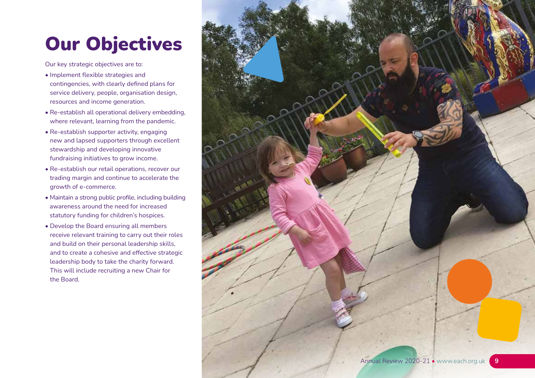# Our Objectives

Our key strategic objectives are to:

- Implement flexible strategies and contingencies, with clearly defined plans for service delivery, people, organisation design, resources and income generation.
- Re-establish all operational delivery embedding, where relevant, learning from the pandemic.
- Re-establish supporter activity, engaging new and lapsed supporters through excellent stewardship and developing innovative fundraising initiatives to grow income.
- Re-establish our retail operations, recover our trading margin and continue to accelerate the growth of e-commerce.
- Maintain a strong public profile, including building awareness around the need for increased statutory funding for children's hospices.
- Develop the Board ensuring all members receive relevant training to carry out their roles and build on their personal leadership skills, and to create a cohesive and effective strategic leadership body to take the charity forward. This will include recruiting a new Chair for the Board.

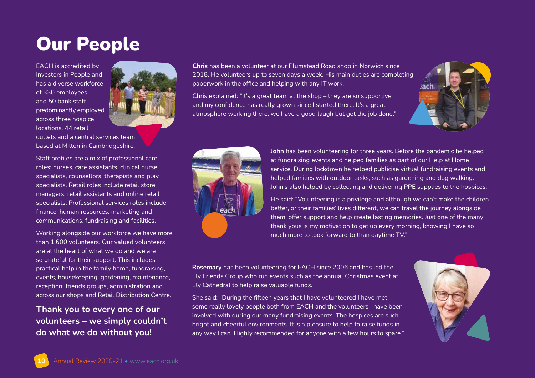# Our People

EACH is accredited by Investors in People and has a diverse workforce of 330 employees and 50 bank staff predominantly employed across three hospice locations, 44 retail



outlets and a central services team based at Milton in Cambridgeshire.

Staff profiles are a mix of professional care roles; nurses, care assistants, clinical nurse specialists, counsellors, therapists and play specialists. Retail roles include retail store managers, retail assistants and online retail specialists. Professional services roles include finance, human resources, marketing and communications, fundraising and facilities.

Working alongside our workforce we have more than 1,600 volunteers. Our valued volunteers are at the heart of what we do and we are so grateful for their support. This includes practical help in the family home, fundraising, events, housekeeping, gardening, maintenance, reception, friends groups, administration and across our shops and Retail Distribution Centre.

**Thank you to every one of our volunteers – we simply couldn't do what we do without you!**

**Chris** has been a volunteer at our Plumstead Road shop in Norwich since 2018. He volunteers up to seven days a week. His main duties are completing paperwork in the office and helping with any IT work.

Chris explained: "It's a great team at the shop – they are so supportive and my confidence has really grown since I started there. It's a great atmosphere working there, we have a good laugh but get the job done."





**John** has been volunteering for three years. Before the pandemic he helped at fundraising events and helped families as part of our Help at Home service. During lockdown he helped publicise virtual fundraising events and helped families with outdoor tasks, such as gardening and dog walking. John's also helped by collecting and delivering PPE supplies to the hospices.

He said: "Volunteering is a privilege and although we can't make the children better, or their families' lives different, we can travel the journey alongside them, offer support and help create lasting memories. Just one of the many thank yous is my motivation to get up every morning, knowing I have so much more to look forward to than daytime TV."

**Rosemary** has been volunteering for EACH since 2006 and has led the Ely Friends Group who run events such as the annual Christmas event at Ely Cathedral to help raise valuable funds.

She said: "During the fifteen years that I have volunteered I have met some really lovely people both from EACH and the volunteers I have been involved with during our many fundraising events. The hospices are such bright and cheerful environments. It is a pleasure to help to raise funds in any way I can. Highly recommended for anyone with a few hours to spare."

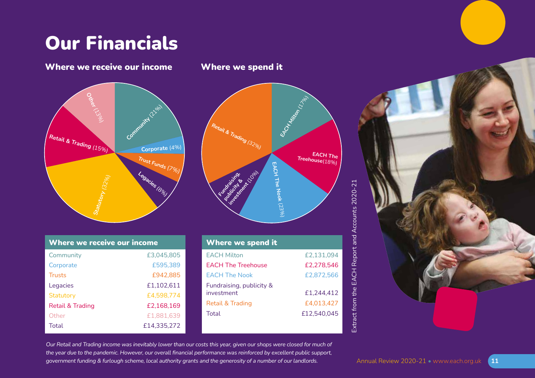# Our Financials

### Where we receive our income Where we spend it



| Retail & Trading (32%)          | EdGLARED LINE                     |
|---------------------------------|-----------------------------------|
| Kurdinaisma:                    | <b>EACH The</b><br>Treehouse(18%) |
| Indiana Chicago<br>Policitics & | EACH The Nook (23%)               |

|  | Where we receive our income |  |
|--|-----------------------------|--|
|  |                             |  |

| Community        | £3,045,805  |
|------------------|-------------|
| Corporate        | £595,389    |
| <b>Trusts</b>    | £942,885    |
| Legacies         | £1,102,611  |
| Statutory        | £4,598,774  |
| Retail & Trading | £2,168,169  |
| Other            | £1,881,639  |
| Total            | £14,335,272 |

| <b>Where we spend it</b>               |             |  |  |  |
|----------------------------------------|-------------|--|--|--|
| <b>EACH Milton</b>                     | £2,131,094  |  |  |  |
| <b>FACH The Treehouse</b>              | £2,278,546  |  |  |  |
| <b>FACH The Nook</b>                   | £2,872,566  |  |  |  |
| Fundraising, publicity &<br>investment | £1,244,412  |  |  |  |
| Retail & Trading                       | £4,013,427  |  |  |  |
| Total                                  | £12,540,045 |  |  |  |



*Our Retail and Trading income was inevitably lower than our costs this year, given our shops were closed for much of the year due to the pandemic. However, our overall financial performance was reinforced by excellent public support, government funding & furlough scheme, local authority grants and the generosity of a number of our landlords.*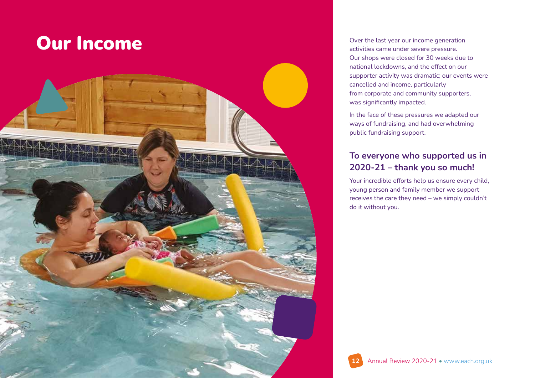

Over the last year our income generation activities came under severe pressure. Our shops were closed for 30 weeks due to national lockdowns, and the effect on our supporter activity was dramatic; our events were cancelled and income, particularly from corporate and community supporters, was significantly impacted.

In the face of these pressures we adapted our ways of fundraising, and had overwhelming public fundraising support.

### **To everyone who supported us in 2020-21 – thank you so much!**

Your incredible efforts help us ensure every child, young person and family member we support receives the care they need – we simply couldn't do it without you.

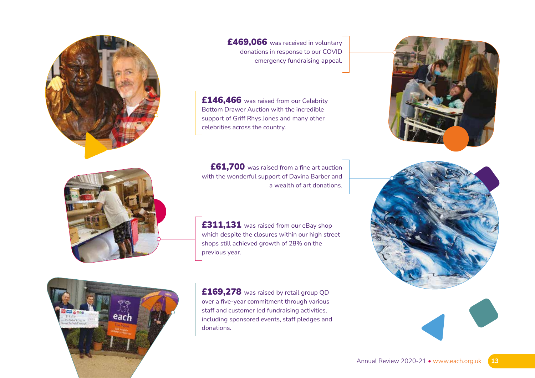

£469,066 was received in voluntary donations in response to our COVID emergency fundraising appeal.

£146,466 was raised from our Celebrity Bottom Drawer Auction with the incredible support of Griff Rhys Jones and many other celebrities across the country.

£61,700 was raised from a fine art auction with the wonderful support of Davina Barber and a wealth of art donations.

£311,131 was raised from our eBay shop which despite the closures within our high street shops still achieved growth of 28% on the previous year.



£169,278 was raised by retail group QD over a five-year commitment through various staff and customer led fundraising activities, including sponsored events, staff pledges and donations.





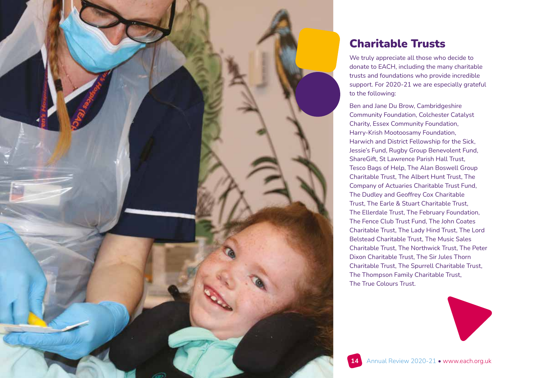

## Charitable Trusts

We truly appreciate all those who decide to donate to EACH, including the many charitable trusts and foundations who provide incredible support. For 2020-21 we are especially grateful to the following:

Ben and Jane Du Brow, Cambridgeshire Community Foundation, Colchester Catalyst Charity, Essex Community Foundation, Harry-Krish Mootoosamy Foundation, Harwich and District Fellowship for the Sick, Jessie's Fund, Rugby Group Benevolent Fund, ShareGift, St Lawrence Parish Hall Trust, Tesco Bags of Help, The Alan Boswell Group Charitable Trust, The Albert Hunt Trust, The Company of Actuaries Charitable Trust Fund, The Dudley and Geoffrey Cox Charitable Trust, The Earle & Stuart Charitable Trust, The Ellerdale Trust, The February Foundation, The Fence Club Trust Fund, The John Coates Charitable Trust, The Lady Hind Trust, The Lord Belstead Charitable Trust, The Music Sales Charitable Trust, The Northwick Trust, The Peter Dixon Charitable Trust, The Sir Jules Thorn Charitable Trust, The Spurrell Charitable Trust, The Thompson Family Charitable Trust, The True Colours Trust.

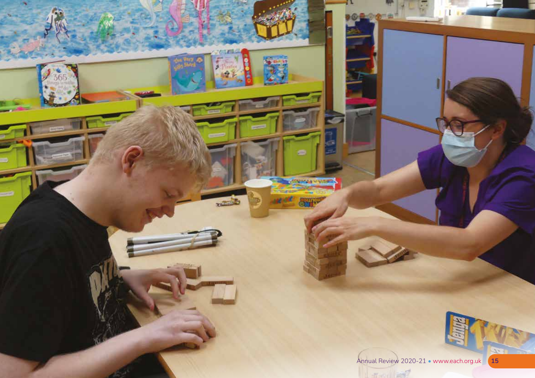

 $H_{\text{total}} = 27$ 

**CONTRACTOR** 

**RATIO** 

 $565$